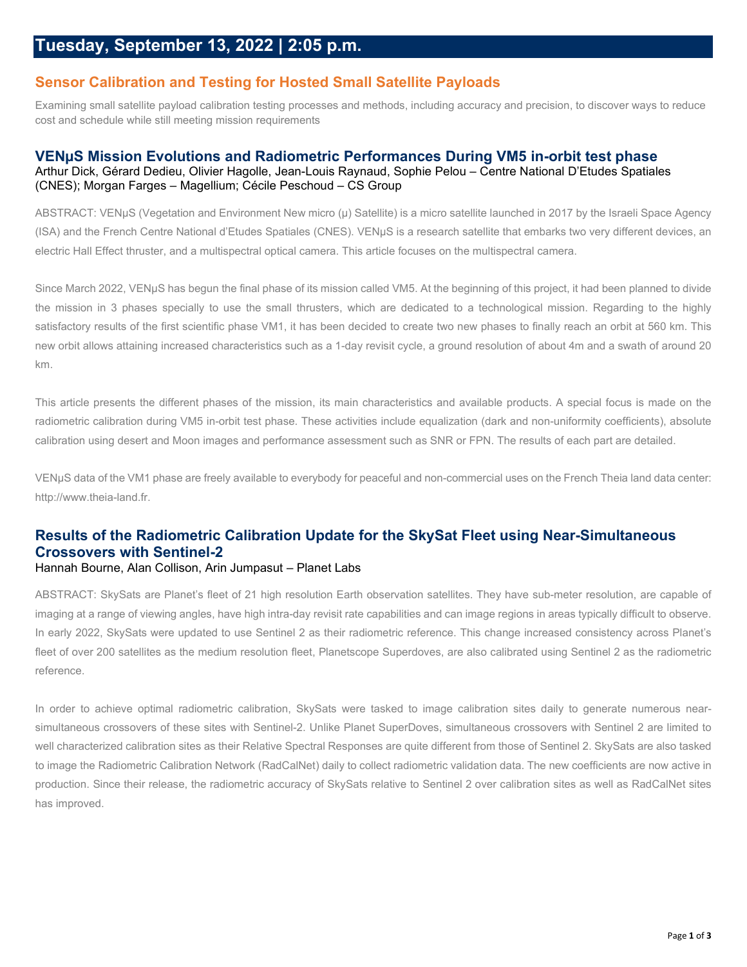### **Sensor Calibration and Testing for Hosted Small Satellite Payloads**

Examining small satellite payload calibration testing processes and methods, including accuracy and precision, to discover ways to reduce cost and schedule while still meeting mission requirements

#### **VENµS Mission Evolutions and Radiometric Performances During VM5 in-orbit test phase** Arthur Dick, Gérard Dedieu, Olivier Hagolle, Jean-Louis Raynaud, Sophie Pelou – Centre National D'Etudes Spatiales (CNES); Morgan Farges – Magellium; Cécile Peschoud – CS Group

ABSTRACT: VENμS (Vegetation and Environment New micro (μ) Satellite) is a micro satellite launched in 2017 by the Israeli Space Agency (ISA) and the French Centre National d'Etudes Spatiales (CNES). VENμS is a research satellite that embarks two very different devices, an electric Hall Effect thruster, and a multispectral optical camera. This article focuses on the multispectral camera.

Since March 2022, VENµS has begun the final phase of its mission called VM5. At the beginning of this project, it had been planned to divide the mission in 3 phases specially to use the small thrusters, which are dedicated to a technological mission. Regarding to the highly satisfactory results of the first scientific phase VM1, it has been decided to create two new phases to finally reach an orbit at 560 km. This new orbit allows attaining increased characteristics such as a 1-day revisit cycle, a ground resolution of about 4m and a swath of around 20 km.

This article presents the different phases of the mission, its main characteristics and available products. A special focus is made on the radiometric calibration during VM5 in-orbit test phase. These activities include equalization (dark and non-uniformity coefficients), absolute calibration using desert and Moon images and performance assessment such as SNR or FPN. The results of each part are detailed.

VENµS data of the VM1 phase are freely available to everybody for peaceful and non-commercial uses on the French Theia land data center: http://www.theia-land.fr.

## **Results of the Radiometric Calibration Update for the SkySat Fleet using Near-Simultaneous Crossovers with Sentinel-2**

#### Hannah Bourne, Alan Collison, Arin Jumpasut – Planet Labs

ABSTRACT: SkySats are Planet's fleet of 21 high resolution Earth observation satellites. They have sub-meter resolution, are capable of imaging at a range of viewing angles, have high intra-day revisit rate capabilities and can image regions in areas typically difficult to observe. In early 2022, SkySats were updated to use Sentinel 2 as their radiometric reference. This change increased consistency across Planet's fleet of over 200 satellites as the medium resolution fleet, Planetscope Superdoves, are also calibrated using Sentinel 2 as the radiometric reference.

In order to achieve optimal radiometric calibration, SkySats were tasked to image calibration sites daily to generate numerous nearsimultaneous crossovers of these sites with Sentinel-2. Unlike Planet SuperDoves, simultaneous crossovers with Sentinel 2 are limited to well characterized calibration sites as their Relative Spectral Responses are quite different from those of Sentinel 2. SkySats are also tasked to image the Radiometric Calibration Network (RadCalNet) daily to collect radiometric validation data. The new coefficients are now active in production. Since their release, the radiometric accuracy of SkySats relative to Sentinel 2 over calibration sites as well as RadCalNet sites has improved.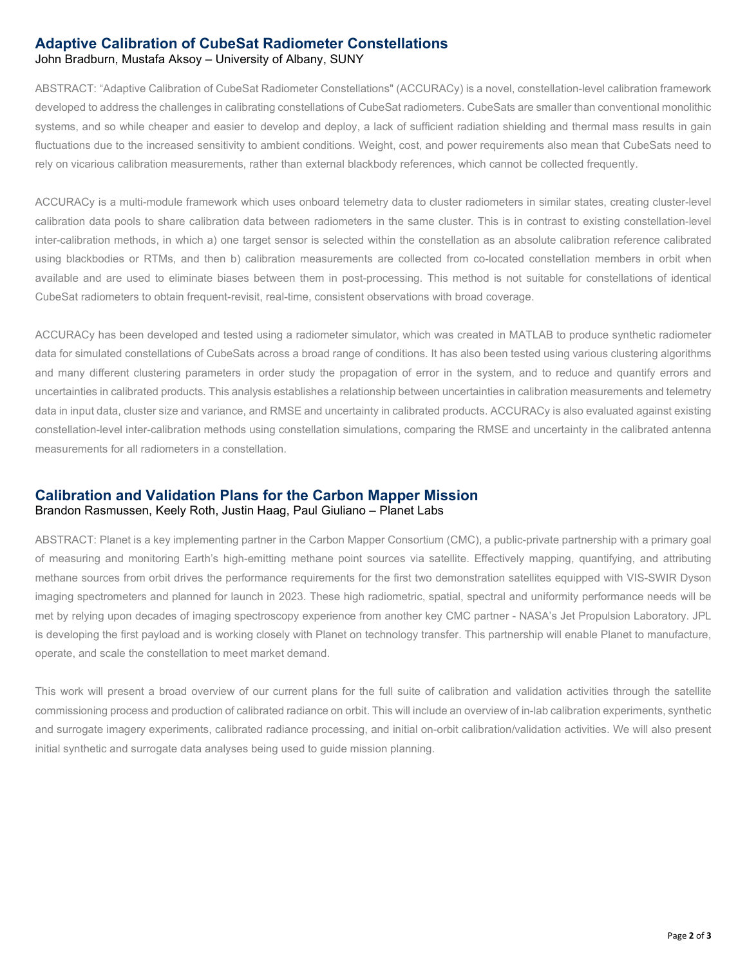#### **Adaptive Calibration of CubeSat Radiometer Constellations** John Bradburn, Mustafa Aksoy – University of Albany, SUNY

ABSTRACT: "Adaptive Calibration of CubeSat Radiometer Constellations" (ACCURACy) is a novel, constellation-level calibration framework developed to address the challenges in calibrating constellations of CubeSat radiometers. CubeSats are smaller than conventional monolithic systems, and so while cheaper and easier to develop and deploy, a lack of sufficient radiation shielding and thermal mass results in gain fluctuations due to the increased sensitivity to ambient conditions. Weight, cost, and power requirements also mean that CubeSats need to rely on vicarious calibration measurements, rather than external blackbody references, which cannot be collected frequently.

ACCURACy is a multi-module framework which uses onboard telemetry data to cluster radiometers in similar states, creating cluster-level calibration data pools to share calibration data between radiometers in the same cluster. This is in contrast to existing constellation-level inter-calibration methods, in which a) one target sensor is selected within the constellation as an absolute calibration reference calibrated using blackbodies or RTMs, and then b) calibration measurements are collected from co-located constellation members in orbit when available and are used to eliminate biases between them in post-processing. This method is not suitable for constellations of identical CubeSat radiometers to obtain frequent-revisit, real-time, consistent observations with broad coverage.

ACCURACy has been developed and tested using a radiometer simulator, which was created in MATLAB to produce synthetic radiometer data for simulated constellations of CubeSats across a broad range of conditions. It has also been tested using various clustering algorithms and many different clustering parameters in order study the propagation of error in the system, and to reduce and quantify errors and uncertainties in calibrated products. This analysis establishes a relationship between uncertainties in calibration measurements and telemetry data in input data, cluster size and variance, and RMSE and uncertainty in calibrated products. ACCURACy is also evaluated against existing constellation-level inter-calibration methods using constellation simulations, comparing the RMSE and uncertainty in the calibrated antenna measurements for all radiometers in a constellation.

#### **Calibration and Validation Plans for the Carbon Mapper Mission** Brandon Rasmussen, Keely Roth, Justin Haag, Paul Giuliano – Planet Labs

ABSTRACT: Planet is a key implementing partner in the Carbon Mapper Consortium (CMC), a public-private partnership with a primary goal of measuring and monitoring Earth's high-emitting methane point sources via satellite. Effectively mapping, quantifying, and attributing methane sources from orbit drives the performance requirements for the first two demonstration satellites equipped with VIS-SWIR Dyson imaging spectrometers and planned for launch in 2023. These high radiometric, spatial, spectral and uniformity performance needs will be met by relying upon decades of imaging spectroscopy experience from another key CMC partner - NASA's Jet Propulsion Laboratory. JPL is developing the first payload and is working closely with Planet on technology transfer. This partnership will enable Planet to manufacture, operate, and scale the constellation to meet market demand.

This work will present a broad overview of our current plans for the full suite of calibration and validation activities through the satellite commissioning process and production of calibrated radiance on orbit. This will include an overview of in-lab calibration experiments, synthetic and surrogate imagery experiments, calibrated radiance processing, and initial on-orbit calibration/validation activities. We will also present initial synthetic and surrogate data analyses being used to guide mission planning.